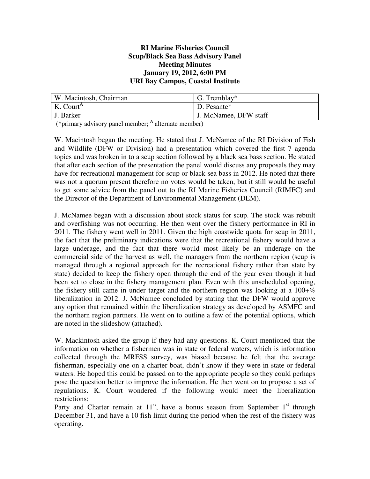#### **RI Marine Fisheries Council Scup/Black Sea Bass Advisory Panel Meeting Minutes January 19, 2012, 6:00 PM URI Bay Campus, Coastal Institute**

| W. Macintosh, Chairman | G. Tremblay*          |
|------------------------|-----------------------|
| K. Court <sup>A</sup>  | D. Pesante*           |
| J. Barker              | J. McNamee, DFW staff |

(\*primary advisory panel member; <sup>A</sup> alternate member)

W. Macintosh began the meeting. He stated that J. McNamee of the RI Division of Fish and Wildlife (DFW or Division) had a presentation which covered the first 7 agenda topics and was broken in to a scup section followed by a black sea bass section. He stated that after each section of the presentation the panel would discuss any proposals they may have for recreational management for scup or black sea bass in 2012. He noted that there was not a quorum present therefore no votes would be taken, but it still would be useful to get some advice from the panel out to the RI Marine Fisheries Council (RIMFC) and the Director of the Department of Environmental Management (DEM).

J. McNamee began with a discussion about stock status for scup. The stock was rebuilt and overfishing was not occurring. He then went over the fishery performance in RI in 2011. The fishery went well in 2011. Given the high coastwide quota for scup in 2011, the fact that the preliminary indications were that the recreational fishery would have a large underage, and the fact that there would most likely be an underage on the commercial side of the harvest as well, the managers from the northern region (scup is managed through a regional approach for the recreational fishery rather than state by state) decided to keep the fishery open through the end of the year even though it had been set to close in the fishery management plan. Even with this unscheduled opening, the fishery still came in under target and the northern region was looking at a  $100+\%$ liberalization in 2012. J. McNamee concluded by stating that the DFW would approve any option that remained within the liberalization strategy as developed by ASMFC and the northern region partners. He went on to outline a few of the potential options, which are noted in the slideshow (attached).

W. Mackintosh asked the group if they had any questions. K. Court mentioned that the information on whether a fishermen was in state or federal waters, which is information collected through the MRFSS survey, was biased because he felt that the average fisherman, especially one on a charter boat, didn't know if they were in state or federal waters. He hoped this could be passed on to the appropriate people so they could perhaps pose the question better to improve the information. He then went on to propose a set of regulations. K. Court wondered if the following would meet the liberalization restrictions:

Party and Charter remain at 11", have a bonus season from September  $1<sup>st</sup>$  through December 31, and have a 10 fish limit during the period when the rest of the fishery was operating.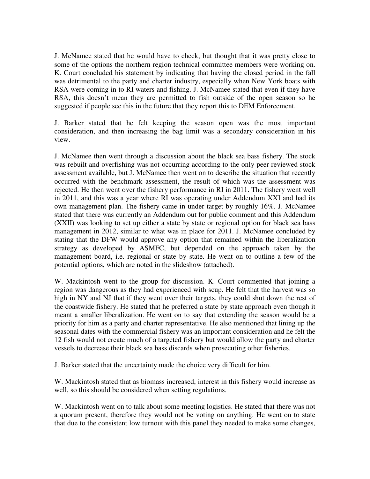J. McNamee stated that he would have to check, but thought that it was pretty close to some of the options the northern region technical committee members were working on. K. Court concluded his statement by indicating that having the closed period in the fall was detrimental to the party and charter industry, especially when New York boats with RSA were coming in to RI waters and fishing. J. McNamee stated that even if they have RSA, this doesn't mean they are permitted to fish outside of the open season so he suggested if people see this in the future that they report this to DEM Enforcement.

J. Barker stated that he felt keeping the season open was the most important consideration, and then increasing the bag limit was a secondary consideration in his view.

J. McNamee then went through a discussion about the black sea bass fishery. The stock was rebuilt and overfishing was not occurring according to the only peer reviewed stock assessment available, but J. McNamee then went on to describe the situation that recently occurred with the benchmark assessment, the result of which was the assessment was rejected. He then went over the fishery performance in RI in 2011. The fishery went well in 2011, and this was a year where RI was operating under Addendum XXI and had its own management plan. The fishery came in under target by roughly 16%. J. McNamee stated that there was currently an Addendum out for public comment and this Addendum (XXII) was looking to set up either a state by state or regional option for black sea bass management in 2012, similar to what was in place for 2011. J. McNamee concluded by stating that the DFW would approve any option that remained within the liberalization strategy as developed by ASMFC, but depended on the approach taken by the management board, i.e. regional or state by state. He went on to outline a few of the potential options, which are noted in the slideshow (attached).

W. Mackintosh went to the group for discussion. K. Court commented that joining a region was dangerous as they had experienced with scup. He felt that the harvest was so high in NY and NJ that if they went over their targets, they could shut down the rest of the coastwide fishery. He stated that he preferred a state by state approach even though it meant a smaller liberalization. He went on to say that extending the season would be a priority for him as a party and charter representative. He also mentioned that lining up the seasonal dates with the commercial fishery was an important consideration and he felt the 12 fish would not create much of a targeted fishery but would allow the party and charter vessels to decrease their black sea bass discards when prosecuting other fisheries.

J. Barker stated that the uncertainty made the choice very difficult for him.

W. Mackintosh stated that as biomass increased, interest in this fishery would increase as well, so this should be considered when setting regulations.

W. Mackintosh went on to talk about some meeting logistics. He stated that there was not a quorum present, therefore they would not be voting on anything. He went on to state that due to the consistent low turnout with this panel they needed to make some changes,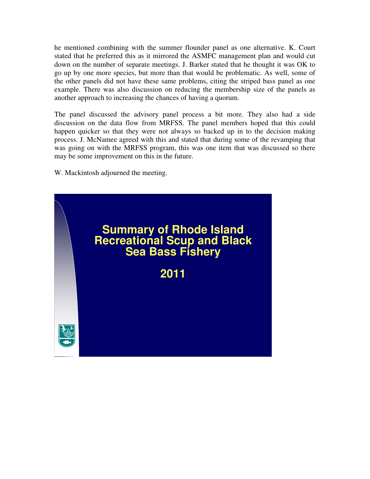he mentioned combining with the summer flounder panel as one alternative. K. Court stated that he preferred this as it mirrored the ASMFC management plan and would cut down on the number of separate meetings. J. Barker stated that he thought it was OK to go up by one more species, but more than that would be problematic. As well, some of the other panels did not have these same problems, citing the striped bass panel as one example. There was also discussion on reducing the membership size of the panels as another approach to increasing the chances of having a quorum.

The panel discussed the advisory panel process a bit more. They also had a side discussion on the data flow from MRFSS. The panel members hoped that this could happen quicker so that they were not always so backed up in to the decision making process. J. McNamee agreed with this and stated that during some of the revamping that was going on with the MRFSS program, this was one item that was discussed so there may be some improvement on this in the future.

W. Mackintosh adjourned the meeting.

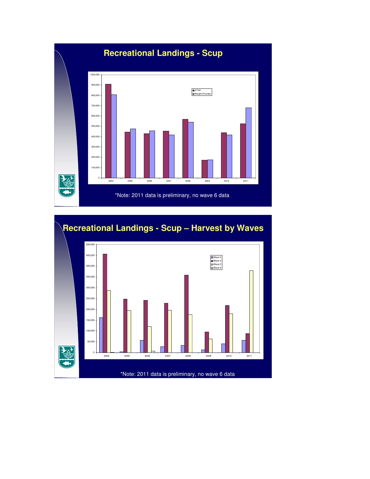

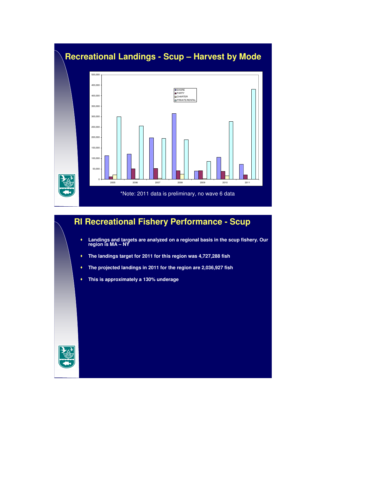

# **RI Recreational Fishery Performance - Scup**

- **Landings and targets are analyzed on a regional basis in the scup fishery. Our region is MA NY**
- **The landings target for 2011 for this region was 4,727,288 fish**
- **The projected landings in 2011 for the region are 2,036,927 fish**
- **This is approximately a 130% underage**

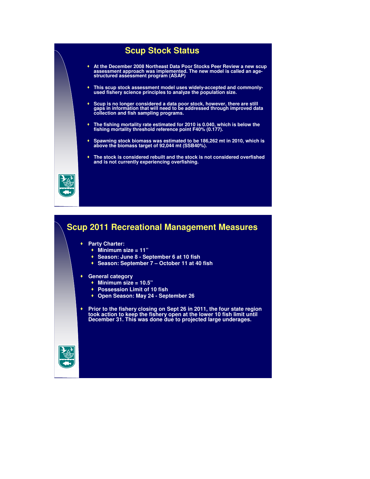



 **Prior to the fishery closing on Sept 26 in 2011, the four state region took action to keep the fishery open at the lower 10 fish limit until December 31. This was done due to projected large underages.**

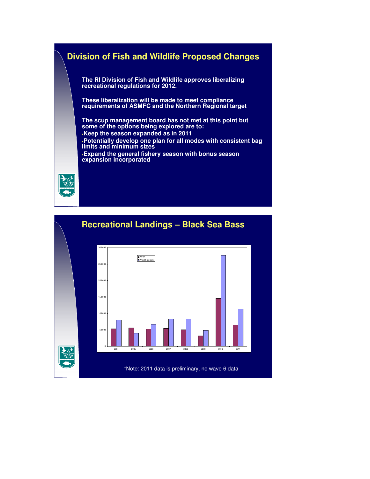## **Division of Fish and Wildlife Proposed Changes**

**The RI Division of Fish and Wildlife approves liberalizing recreational regulations for 2012.** 

**These liberalization will be made to meet compliance requirements of ASMFC and the Northern Regional target**

**The scup management board has not met at this point but some of the options being explored are to: Keep the season expanded as in 2011 Potentially develop one plan for all modes with consistent bag limits and minimum sizes Expand the general fishery season with bonus season expansion incorporated**



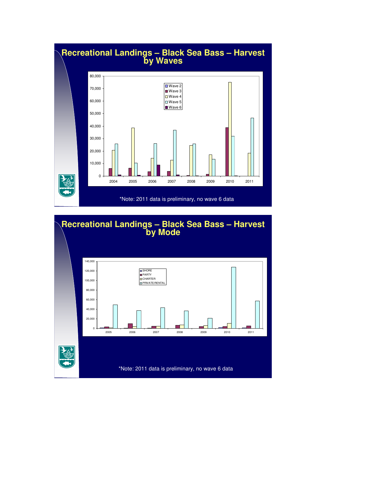

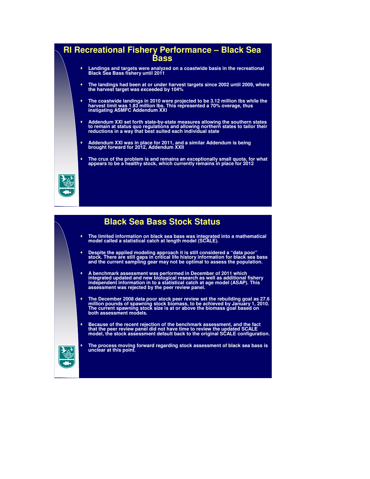